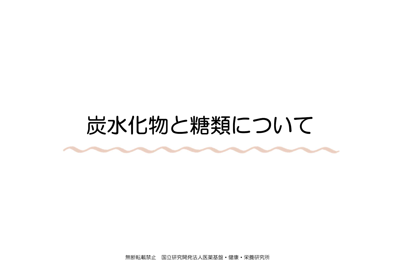### 炭水化物と糖類について

無断転載禁止 国立研究開発法人医薬基盤・健康・栄養研究所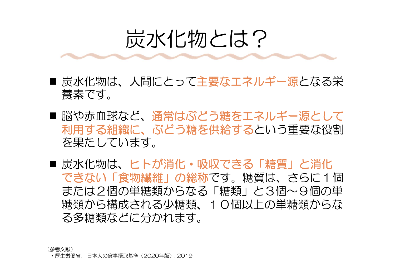### 炭水化物とは?

- 炭水化物は、人間にとって主要なエネルギー源となる栄 養素です。
- 脳や赤血球など、通常はぶどう糖をエネルギー源として 利用する組織に、ぶどう糖を供給するという重要な役割 を果たしています。
- 炭水化物は、ヒトが消化・吸収できる「糖質」と消化 できない「食物繊維」の総称です。糖質は、さらに1個 または2個の単糖類からなる「糖類」と3個~9個の単 糖類から構成される少糖類、10個以上の単糖類からな る多糖類などに分かれます。

(参考文献)

・厚生労働省. 日本人の食事摂取基準(2020年版). 2019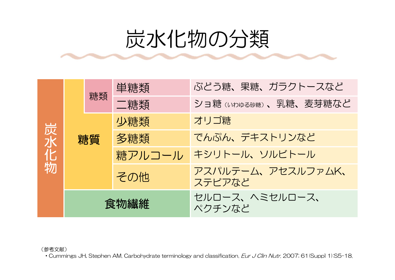## 炭水化物の分類

| 炭水化物 |      | 糖類 | 单糖類    | ぶどう糖、果糖、ガラクトースなど            |  |  |  |
|------|------|----|--------|-----------------------------|--|--|--|
|      |      |    | 二糖類    | ショ糖(いわゆる砂糖)、乳糖、麦芽糖など        |  |  |  |
|      | 糖質   |    | 少糖類    | オリゴ糖                        |  |  |  |
|      |      |    | 多糖類    | でんぷん、デキストリンなど               |  |  |  |
|      |      |    | 糖アルコール | キシリトール、ソルビトール               |  |  |  |
|      |      |    | その他    | アスパルテーム、アセスルファムK、<br>ステビアなど |  |  |  |
|      | 食物繊維 |    |        | セルロース、ヘミセルロース、<br>ペクチンなど    |  |  |  |

(参考文献)

・Cummings JH, Stephen AM. Carbohydrate terminology and classification. Eur J Clin Nutr. 2007; 61(Suppl 1):S5-18.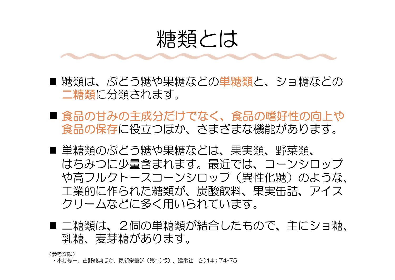### 糖類とは

- 糖類は、ぶどう糖や果糖などの単糖類と、ショ糖などの 二糖類に分類されます。
- ■食品の甘みの主成分だけでなく、食品の嗜好性の向上や 食品の保存に役立つほか、さまざまな機能があります。
- 単糖類のぶどう糖や果糖などは、果実類、野菜類、 はちみつに少量含まれます。最近では、コーンシロップ や高フルクトースコーンシロップ(異性化糖)のような、 工業的に作られた糖類が、炭酸飲料、果実缶詰、アイス クリームなどに多く用いられています。
- 二糖類は、2個の単糖類が結合したもので、主にショ糖、 乳糖、麦芽糖があります。

(参考文献)

・木村修一, 古野純典ほか. 最新栄養学〔第10版〕. 建帛社 2014;74-75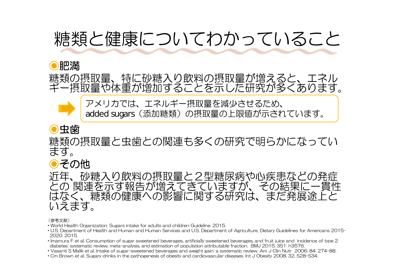### 糖類と健康についてわかっていること

#### ⦿肥満

糖類の摂取量、特に砂糖入り飲料の摂取量が増えると、エネル ギー摂取量や体重が増加することを示した研究が多くあります。

アメリカでは、エネルギー摂取量を減少させるため、 added sugars (添加糖類)の摂取量の上限値が示されています。

### ⦿虫歯

糖類の摂取量と虫歯との関連も多くの研究で明らかになってい ます。

### ●その他

近年、砂糖入り飲料の摂取量と2型糖尿病や心疾患などの発症 との 関連を示す報告が増えてきていますが、その結果に一貫性 はなく、糖類の健康への影響に関する研究は、まだ発展途上と いえます。

#### (参考文献)

- ・World Health Organization. Sugars intake for adults and children Guideline. 2015.
- ・U.S. Department of Health and Human and Human Services and U.S. Department of Agriculture. Dietary Guidelines for Americans 2015- 2020. 2015.
- ・Imamura F et al. Consumption of sugar sweetened beverages, artificially sweetened beverages, and fruit juice and incidence of type 2 diabetes: systematic review, meta-analysis, and estimation of population attributable fraction. BMJ 2015; 351: h3576.
- ・Vasanti S Malik et al. Intake of sugar-sweetened beverages and weight gain: a systematic review. Am J Clin Nutr 2006; 84: 274-88.
- ・Cm Brown et al. Sugary drinks in the pathogenesis of obesity and cardiovascular diseases. Int J Obesity 2008; 32, S28-S34.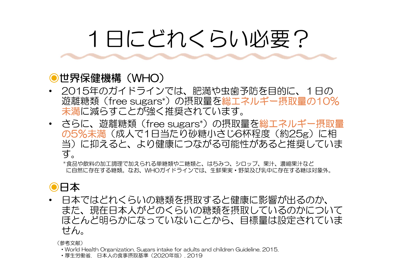# 1日にどれくらい必要?

#### ⦿世界保健機構(WHO)

- 2015年のガイドラインでは、肥満や虫歯予防を目的に、1日の 遊離糖類(free sugars\*)の摂取量を総エネルギー摂取量の10% 未満に減らすことが強く推奨されています。
- さらに、遊離糖類(free sugars\*)の摂取量を総エネルギー摂取量 の5%未満(成人で1日当たり砂糖小さじ6杯程度(約25g)に相 当)に抑えると、より健康につながる可能性があると推奨していま す。

\*食品や飲料の加工調理で加えられる単糖類や二糖類と、はちみつ、シロップ、果汁、濃縮果汁など に自然に存在する糖類。なお、WHOガイドラインでは、生鮮果実・野菜及び乳中に存在する糖は対象外。

#### ⦿日本

• 日本ではどれくらいの糖類を摂取すると健康に影響が出るのか、 また、現在日本人がどのくらいの糖類を摂取しているのかについて ほとんど明らかになっていないことから、目標量は設定されていま せん。

(参考文献)

- ・World Health Organization. Sugars intake for adults and children Guideline. 2015.
- ・厚生労働省. 日本人の食事摂取基準(2020年版). 2019